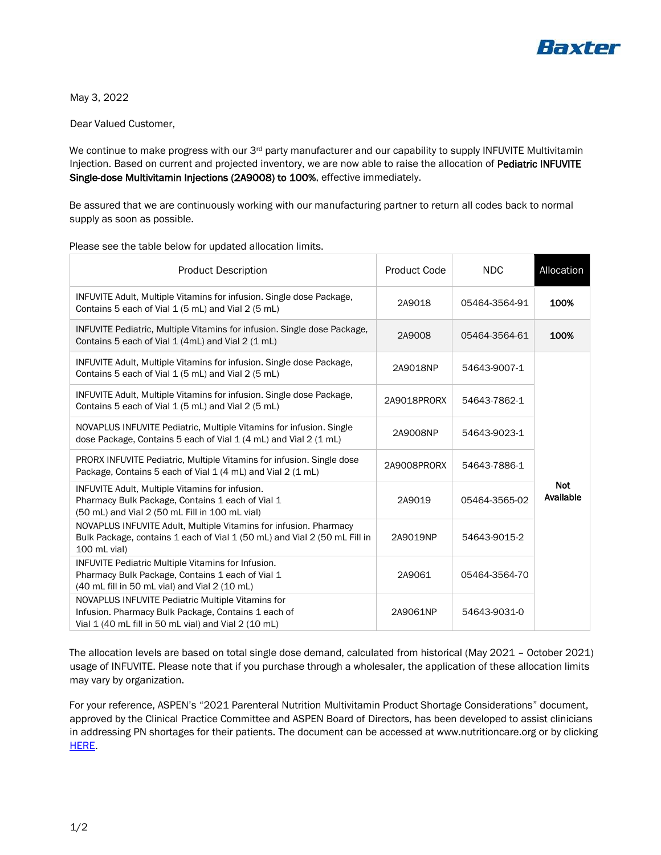

May 3, 2022

Dear Valued Customer,

We continue to make progress with our 3<sup>rd</sup> party manufacturer and our capability to supply INFUVITE Multivitamin Injection. Based on current and projected inventory, we are now able to raise the allocation of Pediatric INFUVITE Single-dose Multivitamin Injections (2A9008) to 100%, effective immediately.

Be assured that we are continuously working with our manufacturing partner to return all codes back to normal supply as soon as possible.

| <b>Product Description</b>                                                                                                                                       | Product Code | <b>NDC</b>    | Allocation              |
|------------------------------------------------------------------------------------------------------------------------------------------------------------------|--------------|---------------|-------------------------|
| INFUVITE Adult, Multiple Vitamins for infusion. Single dose Package,<br>Contains 5 each of Vial 1 (5 mL) and Vial 2 (5 mL)                                       | 2A9018       | 05464-3564-91 | 100%                    |
| INFUVITE Pediatric, Multiple Vitamins for infusion. Single dose Package,<br>Contains 5 each of Vial 1 (4mL) and Vial 2 (1 mL)                                    | 2A9008       | 05464-3564-61 | 100%                    |
| INFUVITE Adult, Multiple Vitamins for infusion. Single dose Package,<br>Contains 5 each of Vial 1 (5 mL) and Vial 2 (5 mL)                                       | 2A9018NP     | 54643-9007-1  | <b>Not</b><br>Available |
| INFUVITE Adult, Multiple Vitamins for infusion. Single dose Package,<br>Contains 5 each of Vial 1 (5 mL) and Vial 2 (5 mL)                                       | 2A9018PRORX  | 54643-7862-1  |                         |
| NOVAPLUS INFUVITE Pediatric, Multiple Vitamins for infusion. Single<br>dose Package, Contains 5 each of Vial 1 (4 mL) and Vial 2 (1 mL)                          | 2A9008NP     | 54643-9023-1  |                         |
| PRORX INFUVITE Pediatric, Multiple Vitamins for infusion. Single dose<br>Package, Contains 5 each of Vial 1 (4 mL) and Vial 2 (1 mL)                             | 2A9008PR0RX  | 54643-7886-1  |                         |
| <b>INFUVITE Adult, Multiple Vitamins for infusion.</b><br>Pharmacy Bulk Package, Contains 1 each of Vial 1<br>(50 mL) and Vial 2 (50 mL Fill in 100 mL vial)     | 2A9019       | 05464-3565-02 |                         |
| NOVAPLUS INFUVITE Adult, Multiple Vitamins for infusion. Pharmacy<br>Bulk Package, contains 1 each of Vial 1 (50 mL) and Vial 2 (50 mL Fill in<br>100 mL vial)   | 2A9019NP     | 54643-9015-2  |                         |
| <b>INFUVITE Pediatric Multiple Vitamins for Infusion.</b><br>Pharmacy Bulk Package, Contains 1 each of Vial 1<br>(40 mL fill in 50 mL vial) and Vial 2 (10 mL)   | 2A9061       | 05464-3564-70 |                         |
| NOVAPLUS INFUVITE Pediatric Multiple Vitamins for<br>Infusion. Pharmacy Bulk Package, Contains 1 each of<br>Vial 1 (40 mL fill in 50 mL vial) and Vial 2 (10 mL) | 2A9061NP     | 54643-9031-0  |                         |

Please see the table below for updated allocation limits.

The allocation levels are based on total single dose demand, calculated from historical (May 2021 – October 2021) usage of INFUVITE. Please note that if you purchase through a wholesaler, the application of these allocation limits may vary by organization.

For your reference, ASPEN's "2021 Parenteral Nutrition Multivitamin Product Shortage Considerations" document, approved by the Clinical Practice Committee and ASPEN Board of Directors, has been developed to assist clinicians in addressing PN shortages for their patients. The document can be accessed at www.nutritioncare.org or by clicking [HERE.](https://www.nutritioncare.org/Guidelines_and_Clinical_Resources/Product_Shortages/2021_Parenteral_Nutrition_Multivitamin_Product_Shortage_Considerations/)